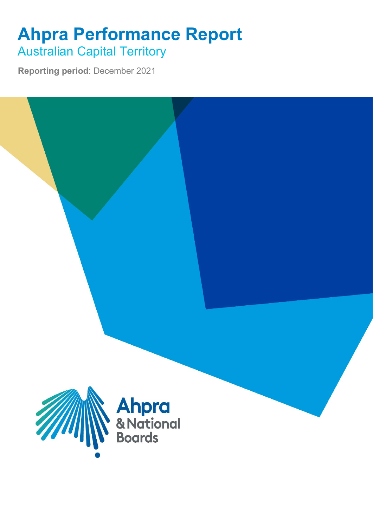## **Ahpra Performance Report** Australian Capital Territory

**Reporting period**: December 2021

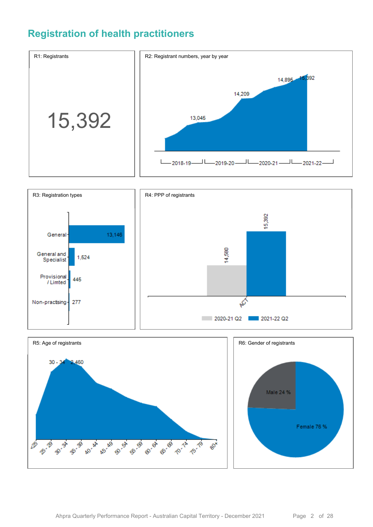## **Registration of health practitioners**





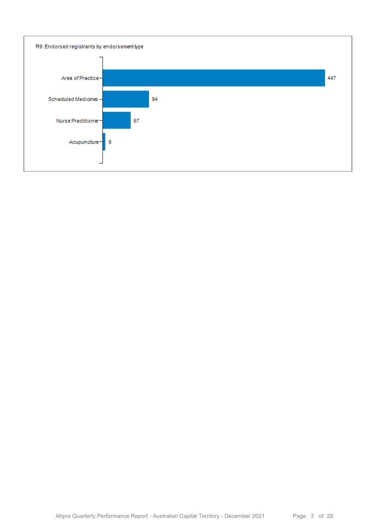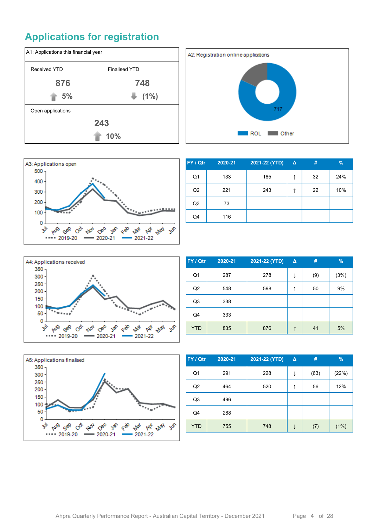## **Applications for registration**







| FY / Qtr       | 2020-21 | 2021-22 (YTD) | $\Delta$ | #  | $\%$ |
|----------------|---------|---------------|----------|----|------|
| Q1             | 133     | 165           | ↑        | 32 | 24%  |
| Q <sub>2</sub> | 221     | 243           |          | 22 | 10%  |
| Q <sub>3</sub> | 73      |               |          |    |      |
| Q4             | 116     |               |          |    |      |



| FY / Qtr       | 2020-21 | 2021-22 (YTD) | $\Delta$ | #   | $\%$ |
|----------------|---------|---------------|----------|-----|------|
| Q <sub>1</sub> | 287     | 278           | ↓        | (9) | (3%) |
| Q <sub>2</sub> | 548     | 598           | ↑        | 50  | 9%   |
| Q3             | 338     |               |          |     |      |
| Q4             | 333     |               |          |     |      |
| <b>YTD</b>     | 835     | 876           |          | 41  | 5%   |



| FY / Qtr       | 2020-21 | 2021-22 (YTD) | $\Delta$ | #    | $\%$  |
|----------------|---------|---------------|----------|------|-------|
| Q1             | 291     | 228           | ↓        | (63) | (22%) |
| Q <sub>2</sub> | 464     | 520           |          | 56   | 12%   |
| Q <sub>3</sub> | 496     |               |          |      |       |
| Q4             | 288     |               |          |      |       |
| <b>YTD</b>     | 755     | 748           |          | (7)  | (1%)  |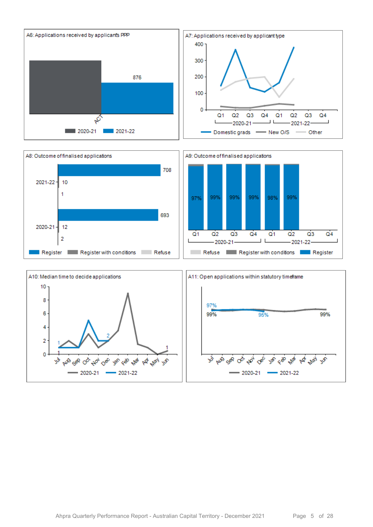



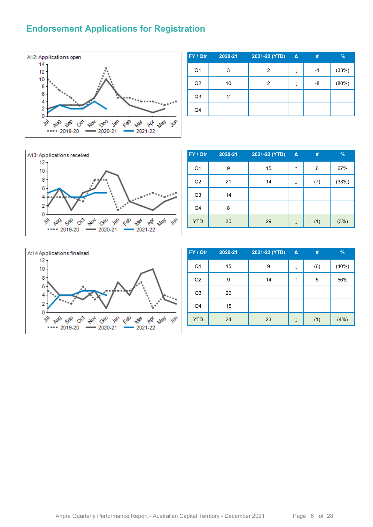#### **Endorsement Applications for Registration**



| FY / Qtr       | 2020-21 | 2021-22 (YTD) | $\Delta$ | #  | %     |
|----------------|---------|---------------|----------|----|-------|
| Q <sub>1</sub> | 3       | 2             | ↓        | -1 | (33%) |
| Q2             | 10      | 2             | ↓        | -8 | (80%) |
| Q <sub>3</sub> | 2       |               |          |    |       |
| Q <sub>4</sub> |         |               |          |    |       |



| FY / Qtr       | 2020-21 | 2021-22 (YTD) | Δ | #   | $\frac{9}{6}$ |
|----------------|---------|---------------|---|-----|---------------|
| Q <sub>1</sub> | 9       | 15            | ↑ | 6   | 67%           |
| Q2             | 21      | 14            |   | (7) | (33%)         |
| Q <sub>3</sub> | 14      |               |   |     |               |
| Q4             | 8       |               |   |     |               |
| <b>YTD</b>     | 30      | 29            |   | (1) | (3%)          |



| FY / Qtr       | 2020-21 | 2021-22 (YTD) | $\Delta$ | #   | $\frac{9}{6}$ |
|----------------|---------|---------------|----------|-----|---------------|
| Q <sub>1</sub> | 15      | 9             | ↓        | (6) | (40%)         |
| Q2             | 9       | 14            | ↑        | 5   | 56%           |
| Q <sub>3</sub> | 20      |               |          |     |               |
| Q4             | 15      |               |          |     |               |
| <b>YTD</b>     | 24      | 23            |          | (1) | (4% )         |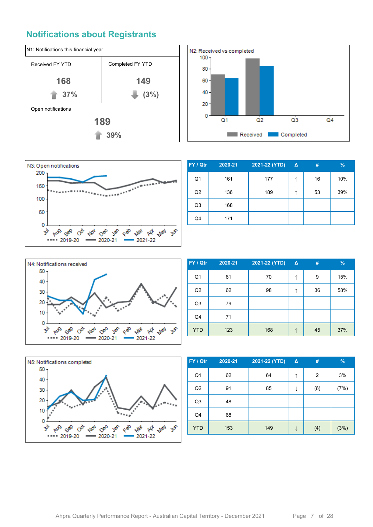### **Notifications about Registrants**







| FY / Qtr       | 2020-21 | 2021-22 (YTD) | $\Delta$ | #  | %   |
|----------------|---------|---------------|----------|----|-----|
| Q1             | 161     | 177           | ↑        | 16 | 10% |
| Q <sub>2</sub> | 136     | 189           | ↑        | 53 | 39% |
| Q <sub>3</sub> | 168     |               |          |    |     |
| Q4             | 171     |               |          |    |     |



| FY / Qtr       | 2020-21 | 2021-22 (YTD) | $\Delta$ | #  | %   |
|----------------|---------|---------------|----------|----|-----|
| Q <sub>1</sub> | 61      | 70            | ↑        | 9  | 15% |
| Q2             | 62      | 98            | ↑        | 36 | 58% |
| Q <sub>3</sub> | 79      |               |          |    |     |
| Q4             | 71      |               |          |    |     |
| <b>YTD</b>     | 123     | 168           |          | 45 | 37% |



| FY / Qtr       | 2020-21 | 2021-22 (YTD) | $\Delta$ | #   | $\frac{9}{6}$ |
|----------------|---------|---------------|----------|-----|---------------|
| Q <sub>1</sub> | 62      | 64            | ↑        | 2   | 3%            |
| Q2             | 91      | 85            | ↓        | (6) | (7%)          |
| Q <sub>3</sub> | 48      |               |          |     |               |
| Q <sub>4</sub> | 68      |               |          |     |               |
| <b>YTD</b>     | 153     | 149           | ↓        | (4) | (3%)          |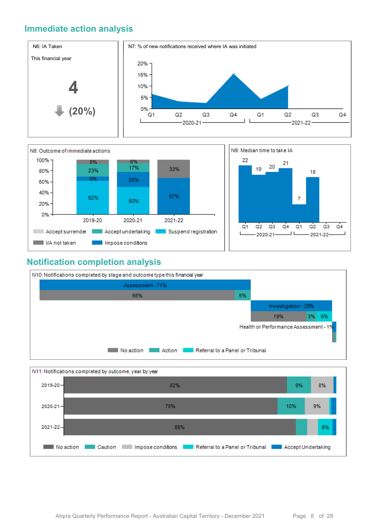#### **Immediate action analysis**





#### **Notification completion analysis**



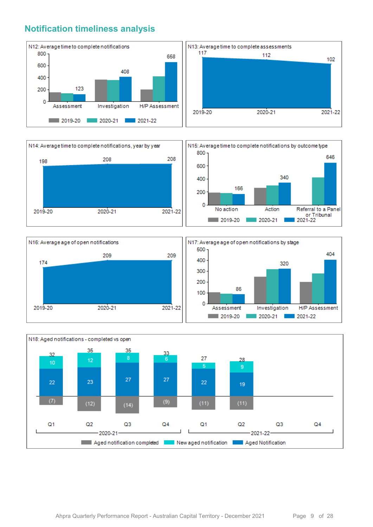#### **Notification timeliness analysis**









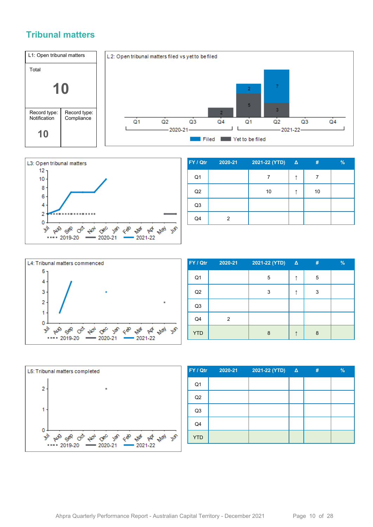#### **Tribunal matters**





| FY / Qtr       | 2020-21 | 2021-22 (YTD) Δ | #  | $\%$ |
|----------------|---------|-----------------|----|------|
| Q <sub>1</sub> |         |                 | 7  |      |
| Q2             |         | 10              | 10 |      |
| Q <sub>3</sub> |         |                 |    |      |
| Q4             | 2       |                 |    |      |



| FY / Qtr       | 2020-21 | 2021-22 (YTD) | $\Delta$ | # | % |
|----------------|---------|---------------|----------|---|---|
| Q <sub>1</sub> |         | 5             | ↑        | 5 |   |
| Q2             |         | 3             |          | 3 |   |
| Q <sub>3</sub> |         |               |          |   |   |
| Q4             | 2       |               |          |   |   |
| <b>YTD</b>     |         | 8             |          | 8 |   |



| FY / Qtr       | 2020-21 | 2021-22 (YTD) | $\Delta$ | # | $\frac{9}{6}$ |
|----------------|---------|---------------|----------|---|---------------|
| Q <sub>1</sub> |         |               |          |   |               |
| Q2             |         |               |          |   |               |
| Q <sub>3</sub> |         |               |          |   |               |
| Q4             |         |               |          |   |               |
| <b>YTD</b>     |         |               |          |   |               |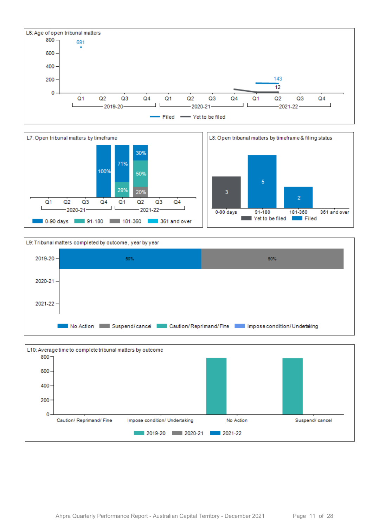







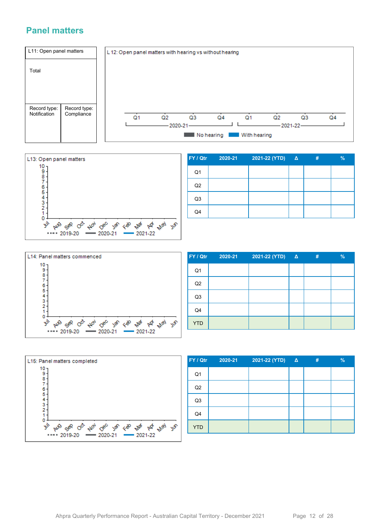#### **Panel matters**





| FY / Qtr       | 2020-21 | 2021-22 (YTD) | $\Delta$ | # | $\overline{\frac{9}{6}}$ |
|----------------|---------|---------------|----------|---|--------------------------|
| Q <sub>1</sub> |         |               |          |   |                          |
| Q <sub>2</sub> |         |               |          |   |                          |
| Q <sub>3</sub> |         |               |          |   |                          |
| Q4             |         |               |          |   |                          |



| FY / Qtr       | 2020-21 | 2021-22 (YTD) Δ | # | $\frac{9}{6}$ |
|----------------|---------|-----------------|---|---------------|
| Q <sub>1</sub> |         |                 |   |               |
| Q2             |         |                 |   |               |
| Q <sub>3</sub> |         |                 |   |               |
| Q4             |         |                 |   |               |
| <b>YTD</b>     |         |                 |   |               |



| FY / Qtr       | 2020-21 | 2021-22 (YTD) $\Delta$ | 47 | $\%$ |
|----------------|---------|------------------------|----|------|
| Q <sub>1</sub> |         |                        |    |      |
| Q2             |         |                        |    |      |
| Q <sub>3</sub> |         |                        |    |      |
| Q4             |         |                        |    |      |
| <b>YTD</b>     |         |                        |    |      |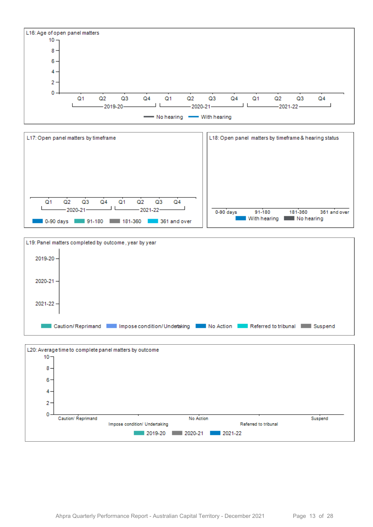





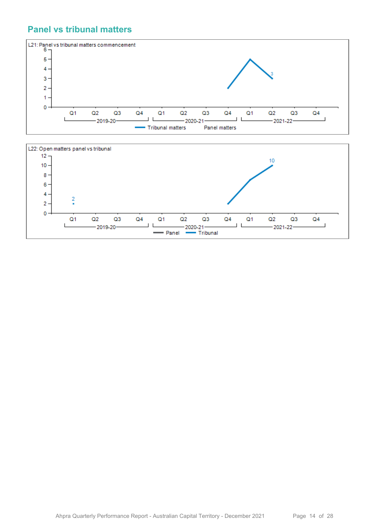#### **Panel vs tribunal matters**



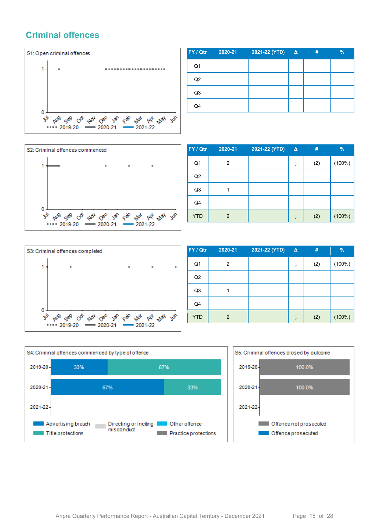#### **Criminal offences**



| FY / Qtr       | 2020-21 | 2021-22 (YTD) Δ | # | $\frac{9}{6}$ |
|----------------|---------|-----------------|---|---------------|
| Q1             |         |                 |   |               |
| Q2             |         |                 |   |               |
| Q <sub>3</sub> |         |                 |   |               |
| Q4             |         |                 |   |               |



| FY / Qtr       | 2020-21 | 2021-22 (YTD) | $\Delta$ | #   | $\%$      |
|----------------|---------|---------------|----------|-----|-----------|
| Q <sub>1</sub> | 2       |               |          | (2) | $(100\%)$ |
| Q2             |         |               |          |     |           |
| Q <sub>3</sub> |         |               |          |     |           |
| Q4             |         |               |          |     |           |
| <b>YTD</b>     | 2       |               |          | (2) | (100%)    |



| FY / Qtr       | 2020-21        | 2021-22 (YTD) | $\Delta$ | #   | $\%$   |
|----------------|----------------|---------------|----------|-----|--------|
| Q <sub>1</sub> | 2              |               |          | (2) | (100%) |
| Q2             |                |               |          |     |        |
| Q <sub>3</sub> |                |               |          |     |        |
| Q4             |                |               |          |     |        |
| <b>YTD</b>     | $\overline{2}$ |               |          | (2) | (100%) |



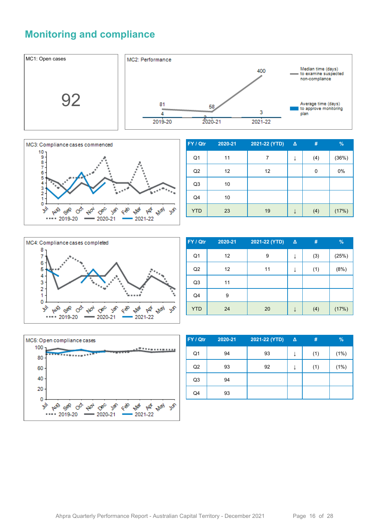## **Monitoring and compliance**





| FY / Qtr       | 2020-21 | 2021-22 (YTD) | Δ | #   | %     |
|----------------|---------|---------------|---|-----|-------|
| Q1             | 11      | 7             | ↓ | (4) | (36%) |
| Q2             | 12      | 12            |   | 0   | 0%    |
| Q <sub>3</sub> | 10      |               |   |     |       |
| Q4             | 10      |               |   |     |       |
| <b>YTD</b>     | 23      | 19            |   | (4) | (17%) |



| FY / Qtr       | 2020-21 | 2021-22 (YTD) | $\Delta$ | #   | %     |
|----------------|---------|---------------|----------|-----|-------|
| Q <sub>1</sub> | 12      | 9             |          | (3) | (25%) |
| Q2             | 12      | 11            | ↓        | (1) | (8%)  |
| Q <sub>3</sub> | 11      |               |          |     |       |
| Q4             | 9       |               |          |     |       |
| <b>YTD</b>     | 24      | 20            |          | (4) | (17%) |



| FY / Qtr       | 2020-21 | 2021-22 (YTD) | $\Delta$ | #   | $\%$ |
|----------------|---------|---------------|----------|-----|------|
| Q <sub>1</sub> | 94      | 93            | ↓        | (1) | (1%) |
| Q2             | 93      | 92            | ↓        | (1) | (1%) |
| Q <sub>3</sub> | 94      |               |          |     |      |
| Q4             | 93      |               |          |     |      |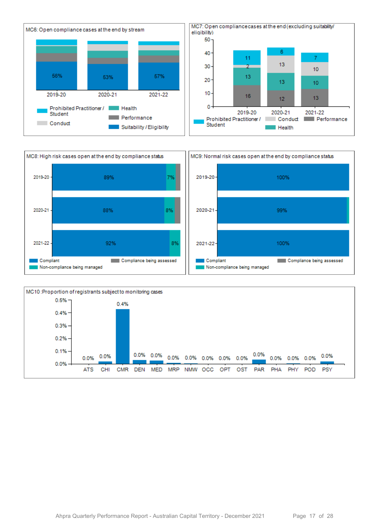



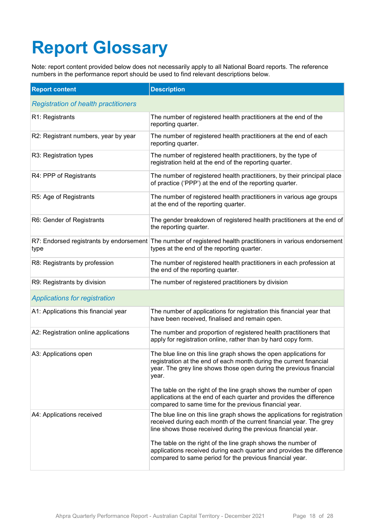# **Report Glossary**

Note: report content provided below does not necessarily apply to all National Board reports. The reference numbers in the performance report should be used to find relevant descriptions below.

| <b>Report content</b>                       | <b>Description</b>                                                                                                                                                                                                                                                                         |
|---------------------------------------------|--------------------------------------------------------------------------------------------------------------------------------------------------------------------------------------------------------------------------------------------------------------------------------------------|
| <b>Registration of health practitioners</b> |                                                                                                                                                                                                                                                                                            |
| R1: Registrants                             | The number of registered health practitioners at the end of the<br>reporting quarter.                                                                                                                                                                                                      |
| R2: Registrant numbers, year by year        | The number of registered health practitioners at the end of each<br>reporting quarter.                                                                                                                                                                                                     |
| R3: Registration types                      | The number of registered health practitioners, by the type of<br>registration held at the end of the reporting quarter.                                                                                                                                                                    |
| R4: PPP of Registrants                      | The number of registered health practitioners, by their principal place<br>of practice ('PPP') at the end of the reporting quarter.                                                                                                                                                        |
| R5: Age of Registrants                      | The number of registered health practitioners in various age groups<br>at the end of the reporting quarter.                                                                                                                                                                                |
| R6: Gender of Registrants                   | The gender breakdown of registered health practitioners at the end of<br>the reporting quarter.                                                                                                                                                                                            |
| type                                        | R7: Endorsed registrants by endorsement The number of registered health practitioners in various endorsement<br>types at the end of the reporting quarter.                                                                                                                                 |
| R8: Registrants by profession               | The number of registered health practitioners in each profession at<br>the end of the reporting quarter.                                                                                                                                                                                   |
| R9: Registrants by division                 | The number of registered practitioners by division                                                                                                                                                                                                                                         |
| <b>Applications for registration</b>        |                                                                                                                                                                                                                                                                                            |
| A1: Applications this financial year        | The number of applications for registration this financial year that<br>have been received, finalised and remain open.                                                                                                                                                                     |
| A2: Registration online applications        | The number and proportion of registered health practitioners that<br>apply for registration online, rather than by hard copy form.                                                                                                                                                         |
| A3: Applications open                       | The blue line on this line graph shows the open applications for<br>registration at the end of each month during the current financial<br>year. The grey line shows those open during the previous financial<br>year.<br>The table on the right of the line graph shows the number of open |
|                                             | applications at the end of each quarter and provides the difference<br>compared to same time for the previous financial year.                                                                                                                                                              |
| A4: Applications received                   | The blue line on this line graph shows the applications for registration<br>received during each month of the current financial year. The grey<br>line shows those received during the previous financial year.                                                                            |
|                                             | The table on the right of the line graph shows the number of<br>applications received during each quarter and provides the difference<br>compared to same period for the previous financial year.                                                                                          |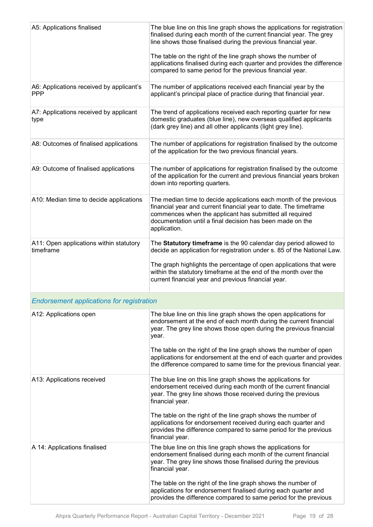| A5: Applications finalised                             | The blue line on this line graph shows the applications for registration<br>finalised during each month of the current financial year. The grey<br>line shows those finalised during the previous financial year.<br>The table on the right of the line graph shows the number of<br>applications finalised during each quarter and provides the difference<br>compared to same period for the previous financial year. |
|--------------------------------------------------------|-------------------------------------------------------------------------------------------------------------------------------------------------------------------------------------------------------------------------------------------------------------------------------------------------------------------------------------------------------------------------------------------------------------------------|
| A6: Applications received by applicant's<br><b>PPP</b> | The number of applications received each financial year by the<br>applicant's principal place of practice during that financial year.                                                                                                                                                                                                                                                                                   |
| A7: Applications received by applicant<br>type         | The trend of applications received each reporting quarter for new<br>domestic graduates (blue line), new overseas qualified applicants<br>(dark grey line) and all other applicants (light grey line).                                                                                                                                                                                                                  |
| A8: Outcomes of finalised applications                 | The number of applications for registration finalised by the outcome<br>of the application for the two previous financial years.                                                                                                                                                                                                                                                                                        |
| A9: Outcome of finalised applications                  | The number of applications for registration finalised by the outcome<br>of the application for the current and previous financial years broken<br>down into reporting quarters.                                                                                                                                                                                                                                         |
| A10: Median time to decide applications                | The median time to decide applications each month of the previous<br>financial year and current financial year to date. The timeframe<br>commences when the applicant has submitted all required<br>documentation until a final decision has been made on the<br>application.                                                                                                                                           |
| A11: Open applications within statutory<br>timeframe   | The Statutory timeframe is the 90 calendar day period allowed to<br>decide an application for registration under s. 85 of the National Law.<br>The graph highlights the percentage of open applications that were<br>within the statutory timeframe at the end of the month over the<br>current financial year and previous financial year.                                                                             |
| <b>Endorsement applications for registration</b>       |                                                                                                                                                                                                                                                                                                                                                                                                                         |
| A12: Applications open                                 | The blue line on this line graph shows the open applications for<br>endorsement at the end of each month during the current financial<br>year. The grey line shows those open during the previous financial<br>year.<br>The table on the right of the line graph shows the number of open<br>applications for endorsement at the end of each quarter and provides                                                       |
|                                                        | the difference compared to same time for the previous financial year.                                                                                                                                                                                                                                                                                                                                                   |
| A13: Applications received                             | The blue line on this line graph shows the applications for<br>endorsement received during each month of the current financial<br>year. The grey line shows those received during the previous<br>financial year.                                                                                                                                                                                                       |
|                                                        | The table on the right of the line graph shows the number of<br>applications for endorsement received during each quarter and<br>provides the difference compared to same period for the previous<br>financial year.                                                                                                                                                                                                    |
| A 14: Applications finalised                           | The blue line on this line graph shows the applications for<br>endorsement finalised during each month of the current financial<br>year. The grey line shows those finalised during the previous<br>financial year.                                                                                                                                                                                                     |
|                                                        | The table on the right of the line graph shows the number of<br>applications for endorsement finalised during each quarter and<br>provides the difference compared to same period for the previous                                                                                                                                                                                                                      |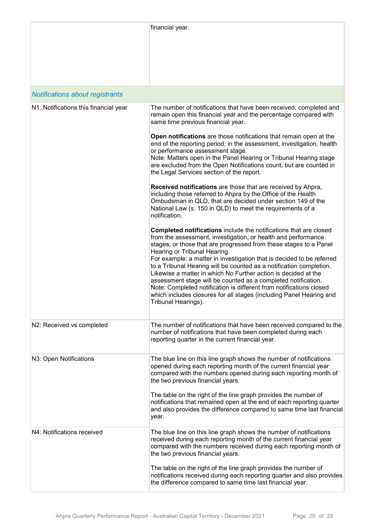|                                        | financial year.                                                                                                                                                                                                                                                                                                                                                                                                                                                                                                                                                                                                                                                                                 |
|----------------------------------------|-------------------------------------------------------------------------------------------------------------------------------------------------------------------------------------------------------------------------------------------------------------------------------------------------------------------------------------------------------------------------------------------------------------------------------------------------------------------------------------------------------------------------------------------------------------------------------------------------------------------------------------------------------------------------------------------------|
| <b>Notifications about registrants</b> |                                                                                                                                                                                                                                                                                                                                                                                                                                                                                                                                                                                                                                                                                                 |
| N1: Notifications this financial year  | The number of notifications that have been received, completed and<br>remain open this financial year and the percentage compared with<br>same time previous financial year.                                                                                                                                                                                                                                                                                                                                                                                                                                                                                                                    |
|                                        | Open notifications are those notifications that remain open at the<br>end of the reporting period, in the assessment, investigation, health<br>or performance assessment stage.<br>Note: Matters open in the Panel Hearing or Tribunal Hearing stage<br>are excluded from the Open Notifications count, but are counted in<br>the Legal Services section of the report.                                                                                                                                                                                                                                                                                                                         |
|                                        | Received notifications are those that are received by Ahpra,<br>including those referred to Ahpra by the Office of the Health<br>Ombudsman in QLD, that are decided under section 149 of the<br>National Law (s. 150 in QLD) to meet the requirements of a<br>notification.                                                                                                                                                                                                                                                                                                                                                                                                                     |
|                                        | Completed notifications include the notifications that are closed<br>from the assessment, investigation, or health and performance<br>stages, or those that are progressed from these stages to a Panel<br>Hearing or Tribunal Hearing.<br>For example: a matter in investigation that is decided to be referred<br>to a Tribunal Hearing will be counted as a notification completion.<br>Likewise a matter in which No Further action is decided at the<br>assessment stage will be counted as a completed notification.<br>Note: Completed notification is different from notifications closed<br>which includes closures for all stages (including Panel Hearing and<br>Tribunal Hearings). |
| N2: Received vs completed              | The number of notifications that have been received compared to the<br>number of notifications that have been completed during each<br>reporting quarter in the current financial year.                                                                                                                                                                                                                                                                                                                                                                                                                                                                                                         |
| N3: Open Notifications                 | The blue line on this line graph shows the number of notifications<br>opened during each reporting month of the current financial year<br>compared with the numbers opened during each reporting month of<br>the two previous financial years.<br>The table on the right of the line graph provides the number of<br>notifications that remained open at the end of each reporting quarter<br>and also provides the difference compared to same time last financial<br>year.                                                                                                                                                                                                                    |
| N4: Notifications received             | The blue line on this line graph shows the number of notifications<br>received during each reporting month of the current financial year<br>compared with the numbers received during each reporting month of<br>the two previous financial years.<br>The table on the right of the line graph provides the number of                                                                                                                                                                                                                                                                                                                                                                           |
|                                        | notifications received during each reporting quarter and also provides<br>the difference compared to same time last financial year.                                                                                                                                                                                                                                                                                                                                                                                                                                                                                                                                                             |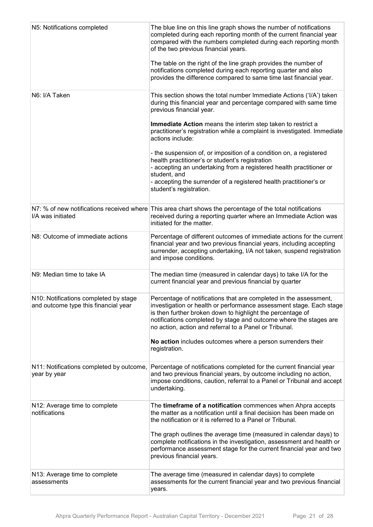| N5: Notifications completed                                                   | The blue line on this line graph shows the number of notifications<br>completed during each reporting month of the current financial year<br>compared with the numbers completed during each reporting month<br>of the two previous financial years.<br>The table on the right of the line graph provides the number of<br>notifications completed during each reporting quarter and also<br>provides the difference compared to same time last financial year. |
|-------------------------------------------------------------------------------|-----------------------------------------------------------------------------------------------------------------------------------------------------------------------------------------------------------------------------------------------------------------------------------------------------------------------------------------------------------------------------------------------------------------------------------------------------------------|
| N6: I/A Taken                                                                 | This section shows the total number Immediate Actions ('I/A') taken<br>during this financial year and percentage compared with same time<br>previous financial year.                                                                                                                                                                                                                                                                                            |
|                                                                               | Immediate Action means the interim step taken to restrict a<br>practitioner's registration while a complaint is investigated. Immediate<br>actions include:                                                                                                                                                                                                                                                                                                     |
|                                                                               | - the suspension of, or imposition of a condition on, a registered<br>health practitioner's or student's registration<br>- accepting an undertaking from a registered health practitioner or<br>student, and<br>- accepting the surrender of a registered health practitioner's or<br>student's registration.                                                                                                                                                   |
| I/A was initiated                                                             | N7: % of new notifications received where This area chart shows the percentage of the total notifications<br>received during a reporting quarter where an Immediate Action was<br>initiated for the matter.                                                                                                                                                                                                                                                     |
| N8: Outcome of immediate actions                                              | Percentage of different outcomes of immediate actions for the current<br>financial year and two previous financial years, including accepting<br>surrender, accepting undertaking, I/A not taken, suspend registration<br>and impose conditions.                                                                                                                                                                                                                |
| N9: Median time to take IA                                                    | The median time (measured in calendar days) to take I/A for the<br>current financial year and previous financial by quarter                                                                                                                                                                                                                                                                                                                                     |
| N10: Notifications completed by stage<br>and outcome type this financial year | Percentage of notifications that are completed in the assessment,<br>investigation or health or performance assessment stage. Each stage<br>is then further broken down to highlight the percentage of<br>notifications completed by stage and outcome where the stages are<br>no action, action and referral to a Panel or Tribunal.                                                                                                                           |
|                                                                               | No action includes outcomes where a person surrenders their<br>registration.                                                                                                                                                                                                                                                                                                                                                                                    |
| N11: Notifications completed by outcome,<br>year by year                      | Percentage of notifications completed for the current financial year<br>and two previous financial years, by outcome including no action,<br>impose conditions, caution, referral to a Panel or Tribunal and accept<br>undertaking.                                                                                                                                                                                                                             |
| N12: Average time to complete<br>notifications                                | The timeframe of a notification commences when Ahpra accepts<br>the matter as a notification until a final decision has been made on<br>the notification or it is referred to a Panel or Tribunal.                                                                                                                                                                                                                                                              |
|                                                                               | The graph outlines the average time (measured in calendar days) to<br>complete notifications in the investigation, assessment and health or<br>performance assessment stage for the current financial year and two<br>previous financial years.                                                                                                                                                                                                                 |
| N13: Average time to complete<br>assessments                                  | The average time (measured in calendar days) to complete<br>assessments for the current financial year and two previous financial<br>years.                                                                                                                                                                                                                                                                                                                     |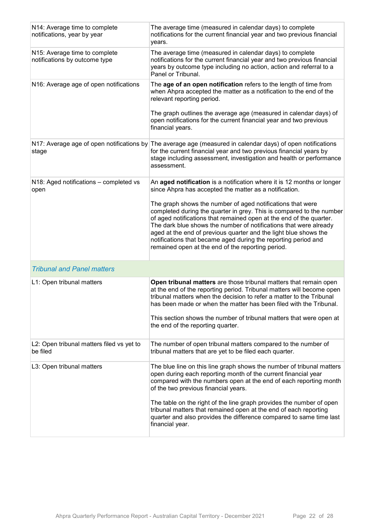| N14: Average time to complete<br>notifications, year by year   | The average time (measured in calendar days) to complete<br>notifications for the current financial year and two previous financial<br>years.                                                                                                                                                                                                                                                                                                                             |
|----------------------------------------------------------------|---------------------------------------------------------------------------------------------------------------------------------------------------------------------------------------------------------------------------------------------------------------------------------------------------------------------------------------------------------------------------------------------------------------------------------------------------------------------------|
| N15: Average time to complete<br>notifications by outcome type | The average time (measured in calendar days) to complete<br>notifications for the current financial year and two previous financial<br>years by outcome type including no action, action and referral to a<br>Panel or Tribunal.                                                                                                                                                                                                                                          |
| N16: Average age of open notifications                         | The age of an open notification refers to the length of time from<br>when Ahpra accepted the matter as a notification to the end of the<br>relevant reporting period.                                                                                                                                                                                                                                                                                                     |
|                                                                | The graph outlines the average age (measured in calendar days) of<br>open notifications for the current financial year and two previous<br>financial years.                                                                                                                                                                                                                                                                                                               |
| stage                                                          | N17: Average age of open notifications by The average age (measured in calendar days) of open notifications<br>for the current financial year and two previous financial years by<br>stage including assessment, investigation and health or performance<br>assessment.                                                                                                                                                                                                   |
| N18: Aged notifications - completed vs<br>open                 | An aged notification is a notification where it is 12 months or longer<br>since Ahpra has accepted the matter as a notification.                                                                                                                                                                                                                                                                                                                                          |
|                                                                | The graph shows the number of aged notifications that were<br>completed during the quarter in grey. This is compared to the number<br>of aged notifications that remained open at the end of the quarter.<br>The dark blue shows the number of notifications that were already<br>aged at the end of previous quarter and the light blue shows the<br>notifications that became aged during the reporting period and<br>remained open at the end of the reporting period. |
| <b>Tribunal and Panel matters</b>                              |                                                                                                                                                                                                                                                                                                                                                                                                                                                                           |
| L1: Open tribunal matters                                      | Open tribunal matters are those tribunal matters that remain open<br>at the end of the reporting period. Tribunal matters will become open<br>tribunal matters when the decision to refer a matter to the Tribunal<br>has been made or when the matter has been filed with the Tribunal.<br>This section shows the number of tribunal matters that were open at<br>the end of the reporting quarter.                                                                      |
| L2: Open tribunal matters filed vs yet to<br>be filed          | The number of open tribunal matters compared to the number of<br>tribunal matters that are yet to be filed each quarter.                                                                                                                                                                                                                                                                                                                                                  |
| L3: Open tribunal matters                                      | The blue line on this line graph shows the number of tribunal matters<br>open during each reporting month of the current financial year<br>compared with the numbers open at the end of each reporting month<br>of the two previous financial years.                                                                                                                                                                                                                      |
|                                                                | The table on the right of the line graph provides the number of open<br>tribunal matters that remained open at the end of each reporting<br>quarter and also provides the difference compared to same time last<br>financial year.                                                                                                                                                                                                                                        |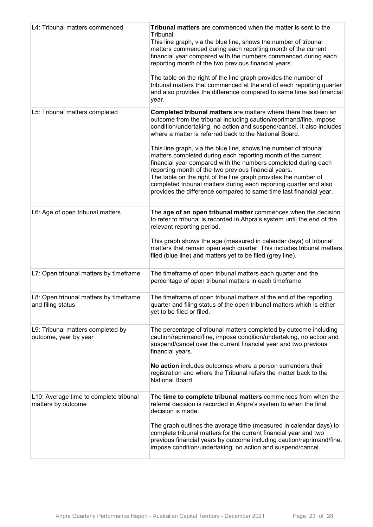| L4: Tribunal matters commenced                               | Tribunal matters are commenced when the matter is sent to the<br>Tribunal.<br>This line graph, via the blue line, shows the number of tribunal<br>matters commenced during each reporting month of the current<br>financial year compared with the numbers commenced during each<br>reporting month of the two previous financial years.<br>The table on the right of the line graph provides the number of<br>tribunal matters that commenced at the end of each reporting quarter<br>and also provides the difference compared to same time last financial<br>year.                                                                                                                                                                               |
|--------------------------------------------------------------|-----------------------------------------------------------------------------------------------------------------------------------------------------------------------------------------------------------------------------------------------------------------------------------------------------------------------------------------------------------------------------------------------------------------------------------------------------------------------------------------------------------------------------------------------------------------------------------------------------------------------------------------------------------------------------------------------------------------------------------------------------|
| L5: Tribunal matters completed                               | Completed tribunal matters are matters where there has been an<br>outcome from the tribunal including caution/reprimand/fine, impose<br>condition/undertaking, no action and suspend/cancel. It also includes<br>where a matter is referred back to the National Board.<br>This line graph, via the blue line, shows the number of tribunal<br>matters completed during each reporting month of the current<br>financial year compared with the numbers completed during each<br>reporting month of the two previous financial years.<br>The table on the right of the line graph provides the number of<br>completed tribunal matters during each reporting quarter and also<br>provides the difference compared to same time last financial year. |
| L6: Age of open tribunal matters                             | The age of an open tribunal matter commences when the decision<br>to refer to tribunal is recorded in Ahpra's system until the end of the<br>relevant reporting period.<br>This graph shows the age (measured in calendar days) of tribunal<br>matters that remain open each quarter. This includes tribunal matters<br>filed (blue line) and matters yet to be filed (grey line).                                                                                                                                                                                                                                                                                                                                                                  |
| L7: Open tribunal matters by timeframe                       | The timeframe of open tribunal matters each quarter and the<br>percentage of open tribunal matters in each timeframe.                                                                                                                                                                                                                                                                                                                                                                                                                                                                                                                                                                                                                               |
| L8: Open tribunal matters by timeframe<br>and filing status  | The timeframe of open tribunal matters at the end of the reporting<br>quarter and filing status of the open tribunal matters which is either<br>yet to be filed or filed.                                                                                                                                                                                                                                                                                                                                                                                                                                                                                                                                                                           |
| L9: Tribunal matters completed by<br>outcome, year by year   | The percentage of tribunal matters completed by outcome including<br>caution/reprimand/fine, impose condition/undertaking, no action and<br>suspend/cancel over the current financial year and two previous<br>financial years.<br>No action includes outcomes where a person surrenders their<br>registration and where the Tribunal refers the matter back to the<br>National Board.                                                                                                                                                                                                                                                                                                                                                              |
| L10: Average time to complete tribunal<br>matters by outcome | The time to complete tribunal matters commences from when the<br>referral decision is recorded in Ahpra's system to when the final<br>decision is made.<br>The graph outlines the average time (measured in calendar days) to<br>complete tribunal matters for the current financial year and two<br>previous financial years by outcome including caution/reprimand/fine,<br>impose condition/undertaking, no action and suspend/cancel.                                                                                                                                                                                                                                                                                                           |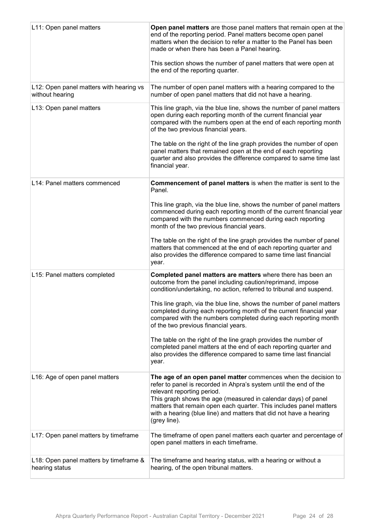| L11: Open panel matters                                    | Open panel matters are those panel matters that remain open at the<br>end of the reporting period. Panel matters become open panel<br>matters when the decision to refer a matter to the Panel has been<br>made or when there has been a Panel hearing.<br>This section shows the number of panel matters that were open at<br>the end of the reporting quarter. |
|------------------------------------------------------------|------------------------------------------------------------------------------------------------------------------------------------------------------------------------------------------------------------------------------------------------------------------------------------------------------------------------------------------------------------------|
| L12: Open panel matters with hearing vs<br>without hearing | The number of open panel matters with a hearing compared to the<br>number of open panel matters that did not have a hearing.                                                                                                                                                                                                                                     |
| L13: Open panel matters                                    | This line graph, via the blue line, shows the number of panel matters<br>open during each reporting month of the current financial year<br>compared with the numbers open at the end of each reporting month<br>of the two previous financial years.                                                                                                             |
|                                                            | The table on the right of the line graph provides the number of open<br>panel matters that remained open at the end of each reporting<br>quarter and also provides the difference compared to same time last<br>financial year.                                                                                                                                  |
| L14: Panel matters commenced                               | <b>Commencement of panel matters is when the matter is sent to the</b><br>Panel.                                                                                                                                                                                                                                                                                 |
|                                                            | This line graph, via the blue line, shows the number of panel matters<br>commenced during each reporting month of the current financial year<br>compared with the numbers commenced during each reporting<br>month of the two previous financial years.                                                                                                          |
|                                                            | The table on the right of the line graph provides the number of panel<br>matters that commenced at the end of each reporting quarter and<br>also provides the difference compared to same time last financial<br>year.                                                                                                                                           |
| L15: Panel matters completed                               | Completed panel matters are matters where there has been an<br>outcome from the panel including caution/reprimand, impose<br>condition/undertaking, no action, referred to tribunal and suspend.                                                                                                                                                                 |
|                                                            | This line graph, via the blue line, shows the number of panel matters<br>completed during each reporting month of the current financial year<br>compared with the numbers completed during each reporting month<br>of the two previous financial years.                                                                                                          |
|                                                            | The table on the right of the line graph provides the number of<br>completed panel matters at the end of each reporting quarter and<br>also provides the difference compared to same time last financial<br>year.                                                                                                                                                |
| L16: Age of open panel matters                             | The age of an open panel matter commences when the decision to<br>refer to panel is recorded in Ahpra's system until the end of the<br>relevant reporting period.                                                                                                                                                                                                |
|                                                            | This graph shows the age (measured in calendar days) of panel<br>matters that remain open each quarter. This includes panel matters<br>with a hearing (blue line) and matters that did not have a hearing<br>(grey line).                                                                                                                                        |
| L17: Open panel matters by timeframe                       | The timeframe of open panel matters each quarter and percentage of<br>open panel matters in each timeframe.                                                                                                                                                                                                                                                      |
| L18: Open panel matters by timeframe &<br>hearing status   | The timeframe and hearing status, with a hearing or without a<br>hearing, of the open tribunal matters.                                                                                                                                                                                                                                                          |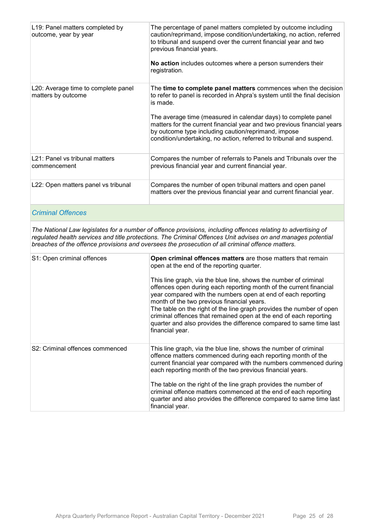| L19: Panel matters completed by<br>outcome, year by year  | The percentage of panel matters completed by outcome including<br>caution/reprimand, impose condition/undertaking, no action, referred<br>to tribunal and suspend over the current financial year and two<br>previous financial years.<br>No action includes outcomes where a person surrenders their<br>registration.                                                                                                            |
|-----------------------------------------------------------|-----------------------------------------------------------------------------------------------------------------------------------------------------------------------------------------------------------------------------------------------------------------------------------------------------------------------------------------------------------------------------------------------------------------------------------|
| L20: Average time to complete panel<br>matters by outcome | The time to complete panel matters commences when the decision<br>to refer to panel is recorded in Ahpra's system until the final decision<br>is made.<br>The average time (measured in calendar days) to complete panel<br>matters for the current financial year and two previous financial years<br>by outcome type including caution/reprimand, impose<br>condition/undertaking, no action, referred to tribunal and suspend. |
| L21: Panel vs tribunal matters<br>commencement            | Compares the number of referrals to Panels and Tribunals over the<br>previous financial year and current financial year.                                                                                                                                                                                                                                                                                                          |
| L22: Open matters panel vs tribunal                       | Compares the number of open tribunal matters and open panel<br>matters over the previous financial year and current financial year.                                                                                                                                                                                                                                                                                               |

#### *Criminal Offences*

*The National Law legislates for a number of offence provisions, including offences relating to advertising of regulated health services and title protections. The Criminal Offences Unit advises on and manages potential breaches of the offence provisions and oversees the prosecution of all criminal offence matters.*

| S1: Open criminal offences      | Open criminal offences matters are those matters that remain<br>open at the end of the reporting quarter.<br>This line graph, via the blue line, shows the number of criminal<br>offences open during each reporting month of the current financial<br>year compared with the numbers open at end of each reporting<br>month of the two previous financial years.<br>The table on the right of the line graph provides the number of open<br>criminal offences that remained open at the end of each reporting<br>quarter and also provides the difference compared to same time last<br>financial year. |
|---------------------------------|----------------------------------------------------------------------------------------------------------------------------------------------------------------------------------------------------------------------------------------------------------------------------------------------------------------------------------------------------------------------------------------------------------------------------------------------------------------------------------------------------------------------------------------------------------------------------------------------------------|
| S2: Criminal offences commenced | This line graph, via the blue line, shows the number of criminal<br>offence matters commenced during each reporting month of the<br>current financial year compared with the numbers commenced during<br>each reporting month of the two previous financial years.<br>The table on the right of the line graph provides the number of<br>criminal offence matters commenced at the end of each reporting<br>quarter and also provides the difference compared to same time last<br>financial year.                                                                                                       |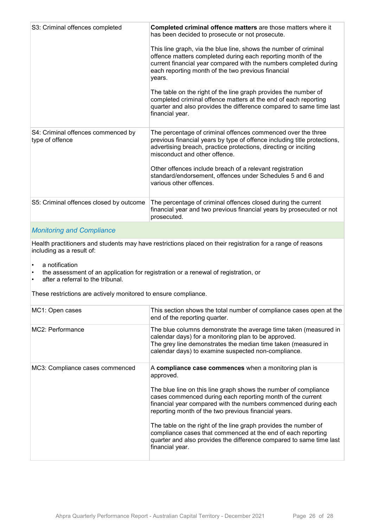| S3: Criminal offences completed                       | Completed criminal offence matters are those matters where it<br>has been decided to prosecute or not prosecute.<br>This line graph, via the blue line, shows the number of criminal<br>offence matters completed during each reporting month of the<br>current financial year compared with the numbers completed during<br>each reporting month of the two previous financial<br>years.<br>The table on the right of the line graph provides the number of<br>completed criminal offence matters at the end of each reporting<br>quarter and also provides the difference compared to same time last<br>financial year. |
|-------------------------------------------------------|---------------------------------------------------------------------------------------------------------------------------------------------------------------------------------------------------------------------------------------------------------------------------------------------------------------------------------------------------------------------------------------------------------------------------------------------------------------------------------------------------------------------------------------------------------------------------------------------------------------------------|
| S4: Criminal offences commenced by<br>type of offence | The percentage of criminal offences commenced over the three<br>previous financial years by type of offence including title protections,<br>advertising breach, practice protections, directing or inciting<br>misconduct and other offence.<br>Other offences include breach of a relevant registration<br>standard/endorsement, offences under Schedules 5 and 6 and<br>various other offences.                                                                                                                                                                                                                         |
| S5: Criminal offences closed by outcome               | The percentage of criminal offences closed during the current<br>financial year and two previous financial years by prosecuted or not<br>prosecuted.                                                                                                                                                                                                                                                                                                                                                                                                                                                                      |
|                                                       |                                                                                                                                                                                                                                                                                                                                                                                                                                                                                                                                                                                                                           |

#### *Monitoring and Compliance*

Health practitioners and students may have restrictions placed on their registration for a range of reasons including as a result of:

- a notification
- the assessment of an application for registration or a renewal of registration, or
- after a referral to the tribunal.

These restrictions are actively monitored to ensure compliance.

| MC1: Open cases                 | This section shows the total number of compliance cases open at the<br>end of the reporting quarter.                                                                                                                                                                                                                                                                                                                                                                                                                                                       |
|---------------------------------|------------------------------------------------------------------------------------------------------------------------------------------------------------------------------------------------------------------------------------------------------------------------------------------------------------------------------------------------------------------------------------------------------------------------------------------------------------------------------------------------------------------------------------------------------------|
| MC2: Performance                | The blue columns demonstrate the average time taken (measured in<br>calendar days) for a monitoring plan to be approved.<br>The grey line demonstrates the median time taken (measured in<br>calendar days) to examine suspected non-compliance.                                                                                                                                                                                                                                                                                                           |
| MC3: Compliance cases commenced | A compliance case commences when a monitoring plan is<br>approved.<br>The blue line on this line graph shows the number of compliance<br>cases commenced during each reporting month of the current<br>financial year compared with the numbers commenced during each<br>reporting month of the two previous financial years.<br>The table on the right of the line graph provides the number of<br>compliance cases that commenced at the end of each reporting<br>quarter and also provides the difference compared to same time last<br>financial year. |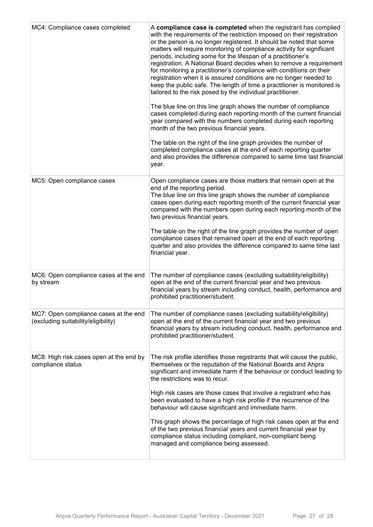| MC4: Compliance cases completed                                              | A compliance case is completed when the registrant has complied<br>with the requirements of the restriction imposed on their registration<br>or the person is no longer registered. It should be noted that some<br>matters will require monitoring of compliance activity for significant<br>periods, including some for the lifespan of a practitioner's<br>registration. A National Board decides when to remove a requirement<br>for monitoring a practitioner's compliance with conditions on their<br>registration when it is assured conditions are no longer needed to<br>keep the public safe. The length of time a practitioner is monitored is<br>tailored to the risk posed by the individual practitioner.<br>The blue line on this line graph shows the number of compliance<br>cases completed during each reporting month of the current financial<br>year compared with the numbers completed during each reporting<br>month of the two previous financial years.<br>The table on the right of the line graph provides the number of<br>completed compliance cases at the end of each reporting quarter<br>and also provides the difference compared to same time last financial<br>year. |
|------------------------------------------------------------------------------|------------------------------------------------------------------------------------------------------------------------------------------------------------------------------------------------------------------------------------------------------------------------------------------------------------------------------------------------------------------------------------------------------------------------------------------------------------------------------------------------------------------------------------------------------------------------------------------------------------------------------------------------------------------------------------------------------------------------------------------------------------------------------------------------------------------------------------------------------------------------------------------------------------------------------------------------------------------------------------------------------------------------------------------------------------------------------------------------------------------------------------------------------------------------------------------------------------|
| MC5: Open compliance cases                                                   | Open compliance cases are those matters that remain open at the<br>end of the reporting period.<br>The blue line on this line graph shows the number of compliance<br>cases open during each reporting month of the current financial year<br>compared with the numbers open during each reporting month of the<br>two previous financial years.<br>The table on the right of the line graph provides the number of open<br>compliance cases that remained open at the end of each reporting<br>quarter and also provides the difference compared to same time last<br>financial year.                                                                                                                                                                                                                                                                                                                                                                                                                                                                                                                                                                                                                     |
| MC6: Open compliance cases at the end<br>by stream                           | The number of compliance cases (excluding suitability/eligibility)<br>open at the end of the current financial year and two previous<br>financial years by stream including conduct, health, performance and<br>prohibited practitioner/student.                                                                                                                                                                                                                                                                                                                                                                                                                                                                                                                                                                                                                                                                                                                                                                                                                                                                                                                                                           |
| MC7: Open compliance cases at the end<br>(excluding suitability/eligibility) | The number of compliance cases (excluding suitability/eligibility)<br>open at the end of the current financial year and two previous<br>financial years by stream including conduct, health, performance and<br>prohibited practitioner/student.                                                                                                                                                                                                                                                                                                                                                                                                                                                                                                                                                                                                                                                                                                                                                                                                                                                                                                                                                           |
| MC8: High risk cases open at the end by<br>compliance status                 | The risk profile identifies those registrants that will cause the public,<br>themselves or the reputation of the National Boards and Ahpra<br>significant and immediate harm if the behaviour or conduct leading to<br>the restrictions was to recur.<br>High risk cases are those cases that involve a registrant who has<br>been evaluated to have a high risk profile if the recurrence of the<br>behaviour will cause significant and immediate harm.<br>This graph shows the percentage of high risk cases open at the end<br>of the two previous financial years and current financial year by<br>compliance status including compliant, non-compliant being<br>managed and compliance being assessed.                                                                                                                                                                                                                                                                                                                                                                                                                                                                                               |